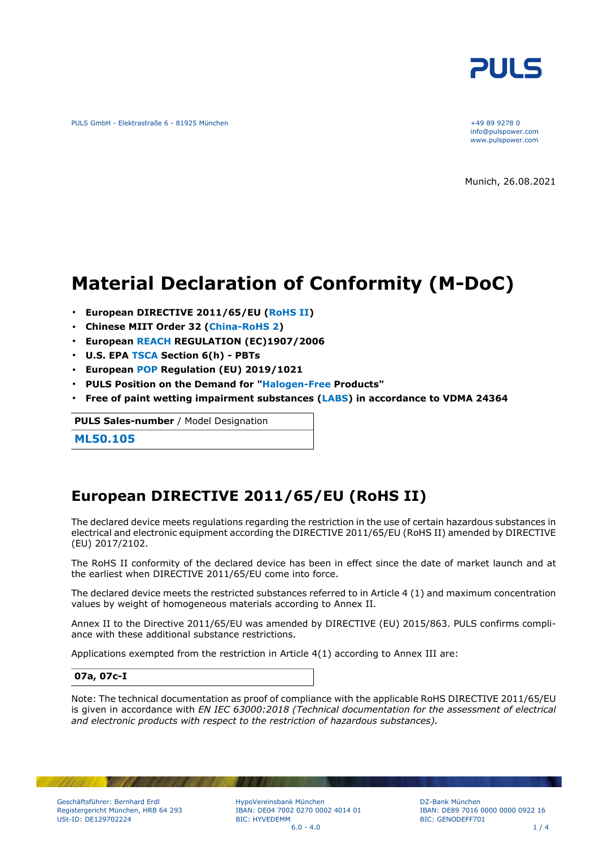

PULS GmbH - Elektrastraße 6 - 81925 München +49 89 9278 0

info@pulspower.com www.pulspower.com

Munich, 26.08.2021

# **Material Declaration of Conformity (M-DoC)**

- **European DIRECTIVE 2011/65/EU (RoHS II)**
- **Chinese MIIT Order 32 (China-RoHS 2)**
- **European REACH REGULATION (EC)1907/2006**
- **U.S. EPA TSCA Section 6(h) PBTs**
- **European POP Regulation (EU) 2019/1021**
- **PULS Position on the Demand for "Halogen-Free Products"**
- **Free of paint wetting impairment substances (LABS) in accordance to VDMA 24364**

**PULS Sales-number** / Model Designation

**ML50.105**

### **European DIRECTIVE 2011/65/EU (RoHS II)**

The declared device meets regulations regarding the restriction in the use of certain hazardous substances in electrical and electronic equipment according the DIRECTIVE 2011/65/EU (RoHS II) amended by DIRECTIVE (EU) 2017/2102.

The RoHS II conformity of the declared device has been in effect since the date of market launch and at the earliest when DIRECTIVE 2011/65/EU come into force.

The declared device meets the restricted substances referred to in Article 4 (1) and maximum concentration values by weight of homogeneous materials according to Annex II.

Annex II to the Directive 2011/65/EU was amended by DIRECTIVE (EU) 2015/863. PULS confirms compliance with these additional substance restrictions.

Applications exempted from the restriction in Article 4(1) according to Annex III are:

#### **07a, 07c-I**

Note: The technical documentation as proof of compliance with the applicable RoHS DIRECTIVE 2011/65/EU is given in accordance with *EN IEC 63000:2018 (Technical documentation for the assessment of electrical and electronic products with respect to the restriction of hazardous substances).*

HypoVereinsbank München IBAN: DE04 7002 0270 0002 4014 01 BIC: HYVEDEMM  $6.0 - 4.0$  1 / 4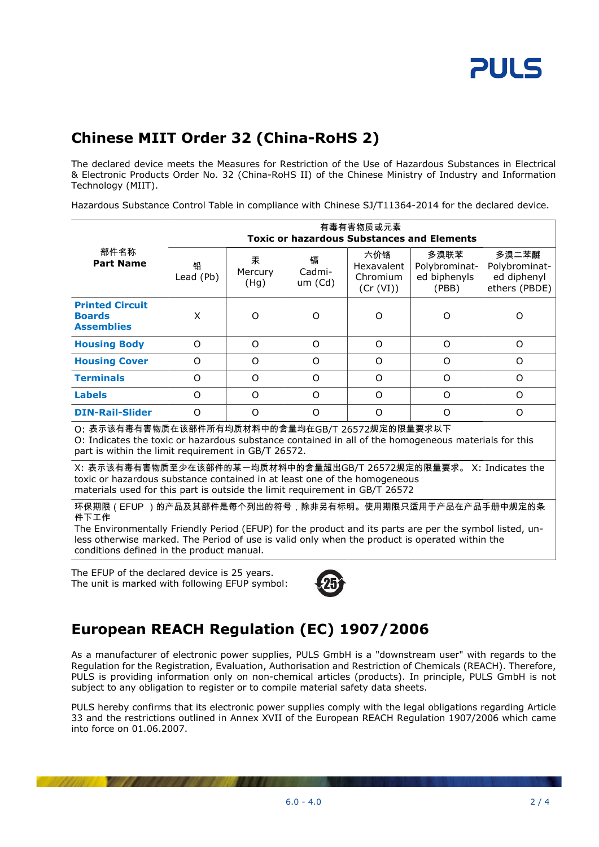# **Chinese MIIT Order 32 (China-RoHS 2)**

The declared device meets the Measures for Restriction of the Use of Hazardous Substances in Electrical & Electronic Products Order No. 32 (China-RoHS II) of the Chinese Ministry of Industry and Information Technology (MIIT).

Hazardous Substance Control Table in compliance with Chinese SJ/T11364-2014 for the declared device.

|                                                                                                                                                                                                                                                                                    | 有毒有害物质或元素<br><b>Toxic or hazardous Substances and Elements</b> |                      |                        |                                                   |                                                |                                                        |  |
|------------------------------------------------------------------------------------------------------------------------------------------------------------------------------------------------------------------------------------------------------------------------------------|----------------------------------------------------------------|----------------------|------------------------|---------------------------------------------------|------------------------------------------------|--------------------------------------------------------|--|
| 部件名称<br><b>Part Name</b>                                                                                                                                                                                                                                                           | 铅<br>Lead (Pb)                                                 | 汞<br>Mercury<br>(Hg) | 镉<br>Cadmi-<br>um (Cd) | 六价铬<br><b>Hexavalent</b><br>Chromium<br>(Cr (VI)) | 多溴联苯<br>Polybrominat-<br>ed biphenyls<br>(PBB) | 多溴二苯醚<br>Polybrominat-<br>ed diphenyl<br>ethers (PBDE) |  |
| <b>Printed Circuit</b><br><b>Boards</b><br><b>Assemblies</b>                                                                                                                                                                                                                       | X                                                              | O                    | $\Omega$               | ∩                                                 | Ω                                              | ∩                                                      |  |
| <b>Housing Body</b>                                                                                                                                                                                                                                                                | $\Omega$                                                       | O                    | $\Omega$               | $\Omega$                                          | $\Omega$                                       | $\Omega$                                               |  |
| <b>Housing Cover</b>                                                                                                                                                                                                                                                               | $\Omega$                                                       | $\Omega$             | $\Omega$               | $\Omega$                                          | $\Omega$                                       | $\Omega$                                               |  |
| <b>Terminals</b>                                                                                                                                                                                                                                                                   | $\Omega$                                                       | $\Omega$             | $\Omega$               | $\Omega$                                          | $\Omega$                                       | O                                                      |  |
| <b>Labels</b>                                                                                                                                                                                                                                                                      | $\Omega$                                                       | O                    | $\Omega$               | $\Omega$                                          | $\Omega$                                       | $\Omega$                                               |  |
| <b>DIN-Rail-Slider</b>                                                                                                                                                                                                                                                             | $\Omega$                                                       | $\Omega$             | $\Omega$               | $\Omega$                                          | $\Omega$                                       | $\Omega$                                               |  |
| O: 表示该有毒有害物质在该部件所有均质材料中的含量均在GB/T 26572规定的限量要求以下<br>O: Indicates the toxic or hazardous substance contained in all of the homogeneous materials for this<br>part is within the limit requirement in GB/T 26572.<br>V、主二法左主左宝梅氏云小左法如此的甘,构氏开料出的今县规山CD/H-36ER3加克的阻具两式, V、Indicates the |                                                                |                      |                        |                                                   |                                                |                                                        |  |

X: 表示该有毒有害物质至少在该部件的某一均质材料中的含量超出GB/T 26572规定的限量要求。 X: Indicates the toxic or hazardous substance contained in at least one of the homogeneous materials used for this part is outside the limit requirement in GB/T 26572

环保期限(EFUP )的产品及其部件是每个列出的符号,除非另有标明。使用期限只适用于产品在产品手册中规定的条 件下工作

The Environmentally Friendly Period (EFUP) for the product and its parts are per the symbol listed, unless otherwise marked. The Period of use is valid only when the product is operated within the conditions defined in the product manual.

The EFUP of the declared device is 25 years. The unit is marked with following EFUP symbol:



## **European REACH Regulation (EC) 1907/2006**

As a manufacturer of electronic power supplies, PULS GmbH is a "downstream user" with regards to the Regulation for the Registration, Evaluation, Authorisation and Restriction of Chemicals (REACH). Therefore, PULS is providing information only on non-chemical articles (products). In principle, PULS GmbH is not subject to any obligation to register or to compile material safety data sheets.

PULS hereby confirms that its electronic power supplies comply with the legal obligations regarding Article 33 and the restrictions outlined in Annex XVII of the European REACH Regulation 1907/2006 which came into force on 01.06.2007.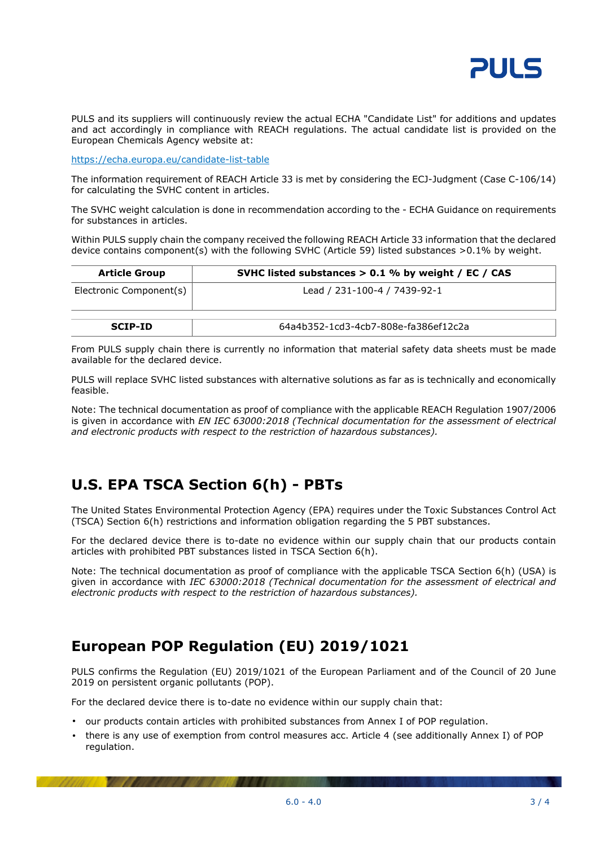

PULS and its suppliers will continuously review the actual ECHA "Candidate List" for additions and updates and act accordingly in compliance with REACH regulations. The actual candidate list is provided on the European Chemicals Agency website at:

<https://echa.europa.eu/candidate-list-table>

The information requirement of REACH Article 33 is met by considering the ECJ-Judgment (Case C-106/14) for calculating the SVHC content in articles.

The SVHC weight calculation is done in recommendation according to the - ECHA Guidance on requirements for substances in articles.

Within PULS supply chain the company received the following REACH Article 33 information that the declared device contains component(s) with the following SVHC (Article 59) listed substances >0.1% by weight.

| <b>Article Group</b>    | SVHC listed substances $> 0.1$ % by weight / EC / CAS |  |  |
|-------------------------|-------------------------------------------------------|--|--|
| Electronic Component(s) | Lead / 231-100-4 / 7439-92-1                          |  |  |
| <b>SCIP-ID</b>          | 64a4b352-1cd3-4cb7-808e-fa386ef12c2a                  |  |  |

From PULS supply chain there is currently no information that material safety data sheets must be made available for the declared device.

PULS will replace SVHC listed substances with alternative solutions as far as is technically and economically feasible.

Note: The technical documentation as proof of compliance with the applicable REACH Regulation 1907/2006 is given in accordance with *EN IEC 63000:2018 (Technical documentation for the assessment of electrical and electronic products with respect to the restriction of hazardous substances).*

### **U.S. EPA TSCA Section 6(h) - PBTs**

The United States Environmental Protection Agency (EPA) requires under the Toxic Substances Control Act (TSCA) Section 6(h) restrictions and information obligation regarding the 5 PBT substances.

For the declared device there is to-date no evidence within our supply chain that our products contain articles with prohibited PBT substances listed in TSCA Section 6(h).

Note: The technical documentation as proof of compliance with the applicable TSCA Section 6(h) (USA) is given in accordance with *IEC 63000:2018 (Technical documentation for the assessment of electrical and electronic products with respect to the restriction of hazardous substances).*

### **European POP Regulation (EU) 2019/1021**

PULS confirms the Regulation (EU) 2019/1021 of the European Parliament and of the Council of 20 June 2019 on persistent organic pollutants (POP).

For the declared device there is to-date no evidence within our supply chain that:

- our products contain articles with prohibited substances from Annex I of POP regulation.
- there is any use of exemption from control measures acc. Article 4 (see additionally Annex I) of POP regulation.